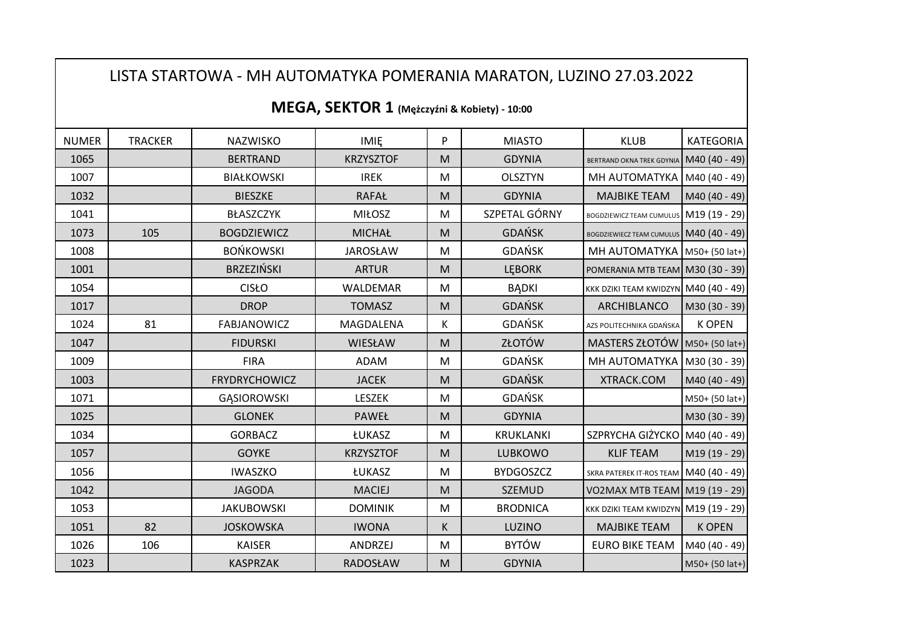## LISTA STARTOWA - MH AUTOMATYKA POMERANIA MARATON, LUZINO 27.03.2022

| <b>NUMER</b> | <b>TRACKER</b> | NAZWISKO             | <b>IMIE</b>      | P                                                                                                          | <b>MIASTO</b>    | <b>KLUB</b>                              | <b>KATEGORIA</b> |
|--------------|----------------|----------------------|------------------|------------------------------------------------------------------------------------------------------------|------------------|------------------------------------------|------------------|
| 1065         |                | <b>BERTRAND</b>      | <b>KRZYSZTOF</b> | M                                                                                                          | <b>GDYNIA</b>    | BERTRAND OKNA TREK GDYNIA M40 (40 - 49)  |                  |
| 1007         |                | <b>BIAŁKOWSKI</b>    | <b>IREK</b>      | M                                                                                                          | <b>OLSZTYN</b>   | MH AUTOMATYKA   M40 (40 - 49)            |                  |
| 1032         |                | <b>BIESZKE</b>       | <b>RAFAŁ</b>     | M                                                                                                          | <b>GDYNIA</b>    | <b>MAJBIKE TEAM</b>                      | M40 (40 - 49)    |
| 1041         |                | BŁASZCZYK            | <b>MIŁOSZ</b>    | M                                                                                                          | SZPETAL GÓRNY    | BOGDZIEWICZ TEAM CUMULUS M19 (19 - 29)   |                  |
| 1073         | 105            | <b>BOGDZIEWICZ</b>   | <b>MICHAŁ</b>    | M                                                                                                          | <b>GDAŃSK</b>    | BOGDZIEWIECZ TEAM CUMULUS M40 (40 - 49)  |                  |
| 1008         |                | <b>BOŃKOWSKI</b>     | <b>JAROSŁAW</b>  | M                                                                                                          | GDAŃSK           | MH AUTOMATYKA   M50+ (50 lat+)           |                  |
| 1001         |                | <b>BRZEZIŃSKI</b>    | <b>ARTUR</b>     | M                                                                                                          | <b>LEBORK</b>    | POMERANIA MTB TEAM M30 (30 - 39)         |                  |
| 1054         |                | <b>CISŁO</b>         | WALDEMAR         | M                                                                                                          | <b>BADKI</b>     | KKK DZIKI TEAM KWIDZYN M40 (40 - 49)     |                  |
| 1017         |                | <b>DROP</b>          | <b>TOMASZ</b>    | M                                                                                                          | <b>GDAŃSK</b>    | ARCHIBLANCO                              | M30 (30 - 39)    |
| 1024         | 81             | <b>FABJANOWICZ</b>   | MAGDALENA        | К                                                                                                          | <b>GDAŃSK</b>    | AZS POLITECHNIKA GDAŃSKA                 | <b>K OPEN</b>    |
| 1047         |                | <b>FIDURSKI</b>      | WIESŁAW          | M                                                                                                          | ZŁOTÓW           | MASTERS ZŁOTÓW   M50+ (50 lat+)          |                  |
| 1009         |                | <b>FIRA</b>          | ADAM             | M                                                                                                          | <b>GDAŃSK</b>    | MH AUTOMATYKA   M30 (30 - 39)            |                  |
| 1003         |                | <b>FRYDRYCHOWICZ</b> | <b>JACEK</b>     | M                                                                                                          | <b>GDAŃSK</b>    | XTRACK.COM                               | M40 (40 - 49)    |
| 1071         |                | <b>GASIOROWSKI</b>   | LESZEK           | M                                                                                                          | <b>GDAŃSK</b>    |                                          | M50+ (50 lat+)   |
| 1025         |                | <b>GLONEK</b>        | PAWEŁ            | M                                                                                                          | <b>GDYNIA</b>    |                                          | M30 (30 - 39)    |
| 1034         |                | <b>GORBACZ</b>       | ŁUKASZ           | M                                                                                                          | KRUKLANKI        | SZPRYCHA GIŻYCKO M40 (40 - 49)           |                  |
| 1057         |                | <b>GOYKE</b>         | <b>KRZYSZTOF</b> | ${\sf M}$                                                                                                  | LUBKOWO          | <b>KLIF TEAM</b>                         | M19 (19 - 29)    |
| 1056         |                | <b>IWASZKO</b>       | ŁUKASZ           | M                                                                                                          | <b>BYDGOSZCZ</b> | SKRA PATEREK IT-ROS TEAM   M40 (40 - 49) |                  |
| 1042         |                | <b>JAGODA</b>        | <b>MACIEJ</b>    | $\mathsf{M}% _{T}=\mathsf{M}_{T}\!\left( a,b\right) ,\ \mathsf{M}_{T}=\mathsf{M}_{T}\!\left( a,b\right) ,$ | SZEMUD           | VO2MAX MTB TEAM M19 (19 - 29)            |                  |
| 1053         |                | <b>JAKUBOWSKI</b>    | <b>DOMINIK</b>   | M                                                                                                          | <b>BRODNICA</b>  | KKK DZIKI TEAM KWIDZYN M19 (19 - 29)     |                  |
| 1051         | 82             | <b>JOSKOWSKA</b>     | <b>IWONA</b>     | K                                                                                                          | LUZINO           | <b>MAJBIKE TEAM</b>                      | <b>K OPEN</b>    |
| 1026         | 106            | <b>KAISER</b>        | ANDRZEJ          | M                                                                                                          | <b>BYTÓW</b>     | <b>EURO BIKE TEAM</b>                    | M40 (40 - 49)    |
| 1023         |                | <b>KASPRZAK</b>      | <b>RADOSŁAW</b>  | $\mathsf{M}% _{T}=\mathsf{M}_{T}\!\left( a,b\right) ,\ \mathsf{M}_{T}=\mathsf{M}_{T}\!\left( a,b\right) ,$ | <b>GDYNIA</b>    |                                          | M50+ (50 lat+)   |

## **MEGA, SEKTOR 1 (Mężczyźni & Kobiety) - 10:00**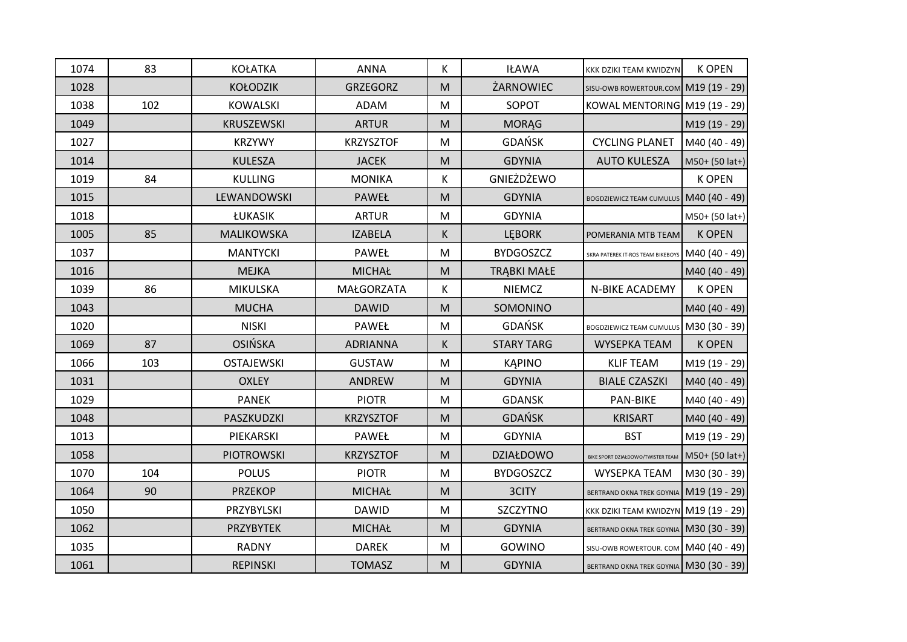| 1074 | 83  | <b>KOŁATKA</b>    | <b>ANNA</b>      | K                                                                                                          | <b>IŁAWA</b>       | KKK DZIKI TEAM KWIDZYN                    | <b>K OPEN</b>  |
|------|-----|-------------------|------------------|------------------------------------------------------------------------------------------------------------|--------------------|-------------------------------------------|----------------|
| 1028 |     | <b>KOŁODZIK</b>   | <b>GRZEGORZ</b>  | M                                                                                                          | ŻARNOWIEC          | SISU-OWB ROWERTOUR.COM M19 (19 - 29)      |                |
| 1038 | 102 | <b>KOWALSKI</b>   | <b>ADAM</b>      | M                                                                                                          | SOPOT              | KOWAL MENTORING M19 (19 - 29)             |                |
| 1049 |     | <b>KRUSZEWSKI</b> | <b>ARTUR</b>     | $\mathsf{M}% _{T}=\mathsf{M}_{T}\!\left( a,b\right) ,\ \mathsf{M}_{T}=\mathsf{M}_{T}\!\left( a,b\right) ,$ | <b>MORĄG</b>       |                                           | M19 (19 - 29)  |
| 1027 |     | <b>KRZYWY</b>     | <b>KRZYSZTOF</b> | M                                                                                                          | <b>GDAŃSK</b>      | <b>CYCLING PLANET</b>                     | M40 (40 - 49)  |
| 1014 |     | <b>KULESZA</b>    | <b>JACEK</b>     | M                                                                                                          | <b>GDYNIA</b>      | <b>AUTO KULESZA</b>                       | M50+ (50 lat+) |
| 1019 | 84  | <b>KULLING</b>    | <b>MONIKA</b>    | K                                                                                                          | GNIEŻDŻEWO         |                                           | <b>K OPEN</b>  |
| 1015 |     | LEWANDOWSKI       | PAWEŁ            | M                                                                                                          | <b>GDYNIA</b>      | <b>BOGDZIEWICZ TEAM CUMULUS</b>           | M40 (40 - 49)  |
| 1018 |     | ŁUKASIK           | <b>ARTUR</b>     | M                                                                                                          | <b>GDYNIA</b>      |                                           | M50+ (50 lat+) |
| 1005 | 85  | MALIKOWSKA        | <b>IZABELA</b>   | K                                                                                                          | <b>LEBORK</b>      | POMERANIA MTB TEAM                        | <b>K OPEN</b>  |
| 1037 |     | <b>MANTYCKI</b>   | PAWEŁ            | M                                                                                                          | <b>BYDGOSZCZ</b>   | SKRA PATEREK IT-ROS TEAM BIKEBOYS         | M40 (40 - 49)  |
| 1016 |     | <b>MEJKA</b>      | <b>MICHAŁ</b>    | M                                                                                                          | <b>TRĄBKI MAŁE</b> |                                           | M40 (40 - 49)  |
| 1039 | 86  | MIKULSKA          | MAŁGORZATA       | K                                                                                                          | <b>NIEMCZ</b>      | N-BIKE ACADEMY                            | <b>K OPEN</b>  |
| 1043 |     | <b>MUCHA</b>      | <b>DAWID</b>     | M                                                                                                          | SOMONINO           |                                           | M40 (40 - 49)  |
| 1020 |     | <b>NISKI</b>      | PAWEŁ            | M                                                                                                          | <b>GDAŃSK</b>      | BOGDZIEWICZ TEAM CUMULUS   M30 (30 - 39)  |                |
| 1069 | 87  | <b>OSIŃSKA</b>    | <b>ADRIANNA</b>  | K                                                                                                          | <b>STARY TARG</b>  | <b>WYSEPKA TEAM</b>                       | <b>K OPEN</b>  |
| 1066 | 103 | <b>OSTAJEWSKI</b> | <b>GUSTAW</b>    | M                                                                                                          | <b>KAPINO</b>      | <b>KLIF TEAM</b>                          | M19 (19 - 29)  |
| 1031 |     | <b>OXLEY</b>      | <b>ANDREW</b>    | M                                                                                                          | <b>GDYNIA</b>      | <b>BIALE CZASZKI</b>                      | M40 (40 - 49)  |
| 1029 |     | <b>PANEK</b>      | <b>PIOTR</b>     | M                                                                                                          | <b>GDANSK</b>      | PAN-BIKE                                  | M40 (40 - 49)  |
| 1048 |     | PASZKUDZKI        | <b>KRZYSZTOF</b> | M                                                                                                          | <b>GDAŃSK</b>      | <b>KRISART</b>                            | M40 (40 - 49)  |
| 1013 |     | PIEKARSKI         | PAWEŁ            | ${\sf M}$                                                                                                  | <b>GDYNIA</b>      | <b>BST</b>                                | M19 (19 - 29)  |
| 1058 |     | <b>PIOTROWSKI</b> | <b>KRZYSZTOF</b> | M                                                                                                          | <b>DZIAŁDOWO</b>   | BIKE SPORT DZIAŁDOWO/TWISTER TEAM         | M50+ (50 lat+) |
| 1070 | 104 | <b>POLUS</b>      | <b>PIOTR</b>     | M                                                                                                          | <b>BYDGOSZCZ</b>   | WYSEPKA TEAM                              | M30 (30 - 39)  |
| 1064 | 90  | <b>PRZEKOP</b>    | <b>MICHAŁ</b>    | M                                                                                                          | 3CITY              | BERTRAND OKNA TREK GDYNIA M19 (19 - 29)   |                |
| 1050 |     | PRZYBYLSKI        | <b>DAWID</b>     | M                                                                                                          | <b>SZCZYTNO</b>    | KKK DZIKI TEAM KWIDZYN M19 (19 - 29)      |                |
| 1062 |     | <b>PRZYBYTEK</b>  | <b>MICHAŁ</b>    | M                                                                                                          | <b>GDYNIA</b>      | BERTRAND OKNA TREK GDYNIA   M30 (30 - 39) |                |
| 1035 |     | <b>RADNY</b>      | <b>DAREK</b>     | M                                                                                                          | GOWINO             | SISU-OWB ROWERTOUR. COM   M40 (40 - 49)   |                |
| 1061 |     | <b>REPINSKI</b>   | <b>TOMASZ</b>    | M                                                                                                          | <b>GDYNIA</b>      | BERTRAND OKNA TREK GDYNIA   M30 (30 - 39) |                |